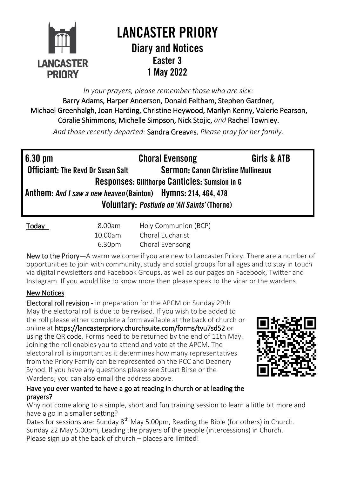

# **I ANCASTER PRIORY Diary and Notices** Easter 3 1 May 2022

*In your prayers, please remember those who are sick:* 

Barry Adams, Harper Anderson, Donald Feltham, Stephen Gardner, Michael Greenhalgh, Joan Harding, Christine Heywood, Marilyn Kenny, Valerie Pearson, Coralie Shimmons, Michelle Simpson, Nick Stojic, *and* Rachel Townley.

*And those recently departed:* Sandra Greaves. *Please pray for her family.*

| $6.30 \text{ pm}$                                             | <b>Choral Evensong</b>                    | Girls & ATB |  |  |
|---------------------------------------------------------------|-------------------------------------------|-------------|--|--|
| <b>Officiant: The Revd Dr Susan Salt</b>                      | <b>Sermon: Canon Christine Mullineaux</b> |             |  |  |
| Responses: Gillthorpe Canticles: Sumsion in G                 |                                           |             |  |  |
| Anthem: And I saw a new heaven (Bainton) Hymns: 214, 464, 478 |                                           |             |  |  |
| Voluntary: Postlude on 'All Saints' (Thorne)                  |                                           |             |  |  |
|                                                               |                                           |             |  |  |

| <b>Today</b> | 8.00am  | Holy Communion (BCP) |
|--------------|---------|----------------------|
|              | 10.00am | Choral Eucharist     |
|              | 6.30pm  | Choral Evensong      |

New to the Priory—A warm welcome if you are new to Lancaster Priory. There are a number of opportunities to join with community, study and social groups for all ages and to stay in touch via digital newsletters and Facebook Groups, as well as our pages on Facebook, Twitter and Instagram. If you would like to know more then please speak to the vicar or the wardens.

## New Notices

Electoral roll revision - in preparation for the APCM on Sunday 29th May the electoral roll is due to be revised. If you wish to be added to the roll please either complete a form available at the back of church or online at <https://lancasterpriory.churchsuite.com/forms/tvu7sd52> or using the QR code. Forms need to be returned by the end of 11th May. Joining the roll enables you to attend and vote at the APCM. The electoral roll is important as it determines how many representatives from the Priory Family can be represented on the PCC and Deanery Synod. If you have any questions please see Stuart Birse or the Wardens; you can also email the address above.



### Have you ever wanted to have a go at reading in church or at leading the prayers?

Why not come along to a simple, short and fun training session to learn a little bit more and have a go in a smaller setting?

Dates for sessions are: Sunday 8<sup>th</sup> May 5.00pm, Reading the Bible (for others) in Church. Sunday 22 May 5.00pm, Leading the prayers of the people (intercessions) in Church. Please sign up at the back of church – places are limited!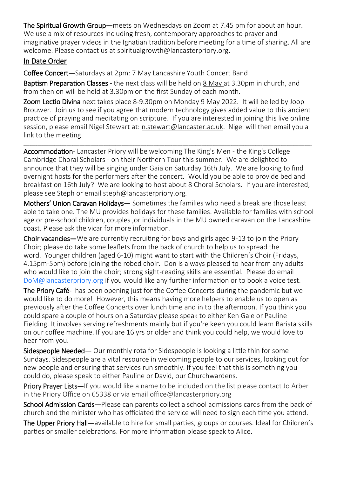The Spiritual Growth Group—meets on Wednesdays on Zoom at 7.45 pm for about an hour. We use a mix of resources including fresh, contemporary approaches to prayer and imaginative prayer videos in the Ignatian tradition before meeting for a time of sharing. All are welcome. Please contact us at [spiritualgrowth@lancasterpriory.org.](mailto:spiritualgrowth@lancasterpriory.org)

## In Date Order

Coffee Concert—Saturdays at 2pm: 7 May Lancashire Youth Concert Band

Baptism Preparation Classes - the next class will be held on 8 May at 3.30pm in church, and from then on will be held at 3.30pm on the first Sunday of each month.

Zoom Lectio Divina next takes place 8-9.30pm on Monday 9 May 2022. It will be led by Joop Brouwer. Join us to see if you agree that modern technology gives added value to this ancient practice of praying and meditating on scripture. If you are interested in joining this live online session, please email Nigel Stewart at: [n.stewart@lancaster.ac.uk.](mailto:n.stewart@lancaster.ac.uk) Nigel will then email you a link to the meeting.

\_\_\_\_\_\_\_\_\_\_\_\_\_\_\_\_\_\_\_\_\_\_\_\_\_\_\_\_\_\_\_\_\_\_\_\_\_\_\_\_\_\_\_\_\_\_\_\_\_\_\_\_\_\_\_\_\_\_\_\_\_\_\_\_\_\_\_\_\_\_\_\_\_\_\_\_\_\_\_\_\_\_\_\_\_\_\_\_\_\_\_\_\_\_\_\_\_\_\_\_\_\_\_\_\_\_\_\_\_\_\_\_\_\_\_\_\_\_\_\_\_\_\_\_\_\_\_\_\_\_\_\_\_\_\_\_\_\_\_\_\_\_\_\_\_\_\_\_\_\_\_\_\_\_\_\_\_\_\_\_\_\_\_\_\_\_\_\_\_\_\_\_\_\_\_\_\_\_\_\_\_\_\_\_\_\_\_\_\_\_\_\_\_\_\_\_\_\_\_\_\_\_\_\_\_\_\_\_\_\_\_\_\_\_\_\_\_\_\_\_\_\_\_\_\_\_\_\_\_\_\_\_\_\_\_\_\_\_\_\_\_

Accommodation- Lancaster Priory will be welcoming The King's Men - the King's College Cambridge Choral Scholars - on their Northern Tour this summer. We are delighted to announce that they will be singing under Gaia on Saturday 16th July. We are looking to find overnight hosts for the performers after the concert. Would you be able to provide bed and breakfast on 16th July? We are looking to host about 8 Choral Scholars. If you are interested, please see Steph or email [steph@lancasterpriory.org.](mailto:steph@lancasterpriory.org)

Mothers' Union Caravan Holidays— Sometimes the families who need a break are those least able to take one. The MU provides holidays for these families. Available for families with school age or pre-school children, couples ,or individuals in the MU owned caravan on the Lancashire coast. Please ask the vicar for more information.

Choir vacancies—We are currently recruiting for boys and girls aged 9-13 to join the Priory Choir; please do take some leaflets from the back of church to help us to spread the word. Younger children (aged 6-10) might want to start with the Children's Choir (Fridays, 4.15pm-5pm) before joining the robed choir. Don is always pleased to hear from any adults who would like to join the choir; strong sight-reading skills are essential. Please do email [DoM@lancasterpriory.org](mailto:DoM@lancasterpriory.org) if you would like any further information or to book a voice test.

The Priory Café- has been opening just for the Coffee Concerts during the pandemic but we would like to do more! However, this means having more helpers to enable us to open as previously after the Coffee Concerts over lunch time and in to the afternoon. If you think you could spare a couple of hours on a Saturday please speak to either Ken Gale or Pauline Fielding. It involves serving refreshments mainly but if you're keen you could learn Barista skills on our coffee machine. If you are 16 yrs or older and think you could help, we would love to hear from you.

Sidespeople Needed— Our monthly rota for Sidespeople is looking a little thin for some Sundays. Sidespeople are a vital resource in welcoming people to our services, looking out for new people and ensuring that services run smoothly. If you feel that this is something you could do, please speak to either Pauline or David, our Churchwardens.

Priory Prayer Lists—If you would like a name to be included on the list please contact Jo Arber in the Priory Office on 65338 or via email office@lancasterpriory.org

School Admission Cards—Please can parents collect a school admissions cards from the back of church and the minister who has officiated the service will need to sign each time you attend.

The Upper Priory Hall—available to hire for small parties, groups or courses. Ideal for Children's parties or smaller celebrations. For more information please speak to Alice.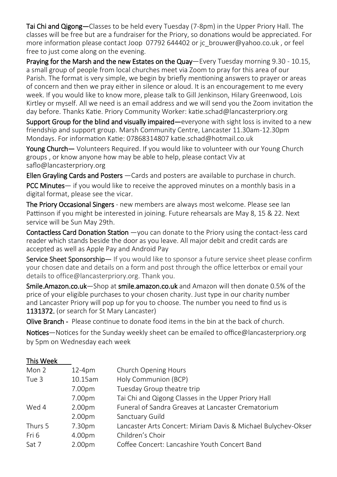Tai Chi and Qigong—Classes to be held every Tuesday (7-8pm) in the Upper Priory Hall. The classes will be free but are a fundraiser for the Priory, so donations would be appreciated. For more information please contact Joop 07792 644402 or [jc\\_brouwer@yahoo.co.uk](mailto:jc_brouwer@yahoo.co.uk), or feel free to just come along on the evening.

Praying for the Marsh and the new Estates on the Quay—Every Tuesday morning 9.30 - 10.15, a small group of people from local churches meet via Zoom to pray for this area of our Parish. The format is very simple, we begin by briefly mentioning answers to prayer or areas of concern and then we pray either in silence or aloud. It is an encouragement to me every week. If you would like to know more, please talk to Gill Jenkinson, Hilary Greenwood, Lois Kirtley or myself. All we need is an email address and we will send you the Zoom invitation the day before. Thanks Katie. Priory Community Worker: [katie.schad@lancasterpriory.org](mailto:katie.schad@lancasterpriory.org)

Support Group for the blind and visually impaired—everyone with sight loss is invited to a new friendship and support group. Marsh Community Centre, Lancaster 11.30am-12.30pm Mondays. For information Katie: 07868314807 katie.schad@hotmail.co.uk

Young Church— Volunteers Required. If you would like to volunteer with our Young Church groups , or know anyone how may be able to help, please contact Viv at saflo@lancasterpriory.org

Ellen Grayling Cards and Posters - Cards and posters are available to purchase in church.

PCC Minutes— if you would like to receive the approved minutes on a monthly basis in a digital format, please see the vicar.

The Priory Occasional Singers - new members are always most welcome. Please see Ian Pattinson if you might be interested in joining. Future rehearsals are May 8, 15 & 22. Next service will be Sun May 29th.

Contactless Card Donation Station - you can donate to the Priory using the contact-less card reader which stands beside the door as you leave. All major debit and credit cards are accepted as well as Apple Pay and Android Pay

Service Sheet Sponsorship— If you would like to sponsor a future service sheet please confirm your chosen date and details on a form and post through the office letterbox or email your details to office@lancasterpriory.org. Thank you.

Smile.Amazon.co.uk—Shop at smile.amazon.co.uk and Amazon will then donate 0.5% of the price of your eligible purchases to your chosen charity. Just type in our charity number and Lancaster Priory will pop up for you to choose. The number you need to find us is 1131372. (or search for St Mary Lancaster)

Olive Branch - Please continue to donate food items in the bin at the back of church.

Notices—Notices for the Sunday weekly sheet can be emailed to office@lancasterpriory.org by 5pm on Wednesday each week

| This Week |                    |                                                               |
|-----------|--------------------|---------------------------------------------------------------|
| Mon 2     | $12-4pm$           | Church Opening Hours                                          |
| Tue 3     | 10.15am            | Holy Communion (BCP)                                          |
|           | 7.00pm             | Tuesday Group theatre trip                                    |
|           | 7.00pm             | Tai Chi and Qigong Classes in the Upper Priory Hall           |
| Wed 4     | 2.00 <sub>pm</sub> | Funeral of Sandra Greaves at Lancaster Crematorium            |
|           | 2.00 <sub>pm</sub> | Sanctuary Guild                                               |
| Thurs 5   | 7.30pm             | Lancaster Arts Concert: Miriam Davis & Michael Bulychev-Okser |
| Fri 6     | 4.00pm             | Children's Choir                                              |
| Sat 7     | 2.00pm             | Coffee Concert: Lancashire Youth Concert Band                 |